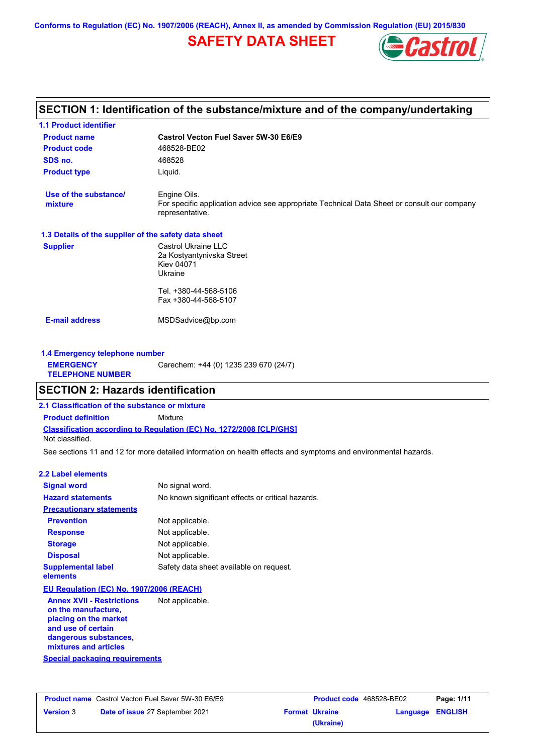**Conforms to Regulation (EC) No. 1907/2006 (REACH), Annex II, as amended by Commission Regulation (EU) 2015/830**

# **SAFETY DATA SHEET**



# **SECTION 1: Identification of the substance/mixture and of the company/undertaking**

| <b>1.1 Product identifier</b>                        |                                                                                                                                |
|------------------------------------------------------|--------------------------------------------------------------------------------------------------------------------------------|
| <b>Product name</b>                                  | Castrol Vecton Fuel Saver 5W-30 E6/E9                                                                                          |
| <b>Product code</b>                                  | 468528-BE02                                                                                                                    |
| SDS no.                                              | 468528                                                                                                                         |
| <b>Product type</b>                                  | Liquid.                                                                                                                        |
| Use of the substance/<br>mixture                     | Engine Oils.<br>For specific application advice see appropriate Technical Data Sheet or consult our company<br>representative. |
| 1.3 Details of the supplier of the safety data sheet |                                                                                                                                |
| <b>Supplier</b>                                      | Castrol Ukraine LLC<br>2a Kostyantynivska Street<br><b>Kiev 04071</b><br>Ukraine                                               |
|                                                      | Tel. +380-44-568-5106<br>Fax +380-44-568-5107                                                                                  |
| <b>E-mail address</b>                                | MSDSadvice@bp.com                                                                                                              |
| 1.4 Emergency telephone number                       |                                                                                                                                |
| <b>EMERGENCY</b><br><b>TELEPHONE NUMBER</b>          | Carechem: +44 (0) 1235 239 670 (24/7)                                                                                          |
| <b>SECTION 2: Hazards identification</b>             |                                                                                                                                |
| 2.1 Classification of the substance or mixture       |                                                                                                                                |

**Classification according to Regulation (EC) No. 1272/2008 [CLP/GHS] Product definition** Mixture

Not classified.

See sections 11 and 12 for more detailed information on health effects and symptoms and environmental hazards.

### **2.2 Label elements**

| <b>Signal word</b>                                                                                                                                       | No signal word.                                   |
|----------------------------------------------------------------------------------------------------------------------------------------------------------|---------------------------------------------------|
| <b>Hazard statements</b>                                                                                                                                 | No known significant effects or critical hazards. |
| <b>Precautionary statements</b>                                                                                                                          |                                                   |
| <b>Prevention</b>                                                                                                                                        | Not applicable.                                   |
| <b>Response</b>                                                                                                                                          | Not applicable.                                   |
| <b>Storage</b>                                                                                                                                           | Not applicable.                                   |
| <b>Disposal</b>                                                                                                                                          | Not applicable.                                   |
| <b>Supplemental label</b><br>elements                                                                                                                    | Safety data sheet available on request.           |
| EU Regulation (EC) No. 1907/2006 (REACH)                                                                                                                 |                                                   |
| <b>Annex XVII - Restrictions</b><br>on the manufacture,<br>placing on the market<br>and use of certain<br>dangerous substances,<br>mixtures and articles | Not applicable.                                   |

#### **Special packaging requirements**

|                  | <b>Product name</b> Castrol Vecton Fuel Saver 5W-30 E6/E9 | <b>Product code</b> 468528-BE02 |                  | Page: 1/11 |
|------------------|-----------------------------------------------------------|---------------------------------|------------------|------------|
| <b>Version</b> 3 | Date of issue 27 September 2021                           | <b>Format Ukraine</b>           | Language ENGLISH |            |
|                  |                                                           | (Ukraine)                       |                  |            |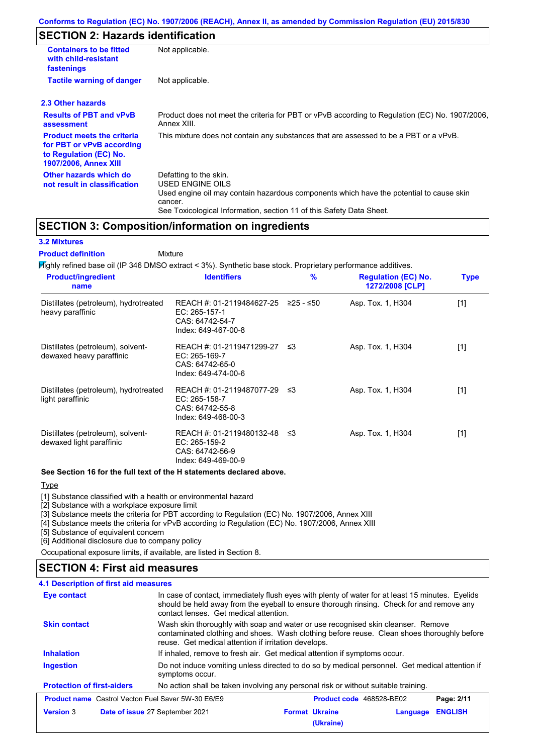# **SECTION 2: Hazards identification**

| <b>Containers to be fitted</b><br>with child-resistant<br>fastenings                                                     | Not applicable.                                                                                                                                                                                                          |  |  |
|--------------------------------------------------------------------------------------------------------------------------|--------------------------------------------------------------------------------------------------------------------------------------------------------------------------------------------------------------------------|--|--|
| <b>Tactile warning of danger</b><br>Not applicable.                                                                      |                                                                                                                                                                                                                          |  |  |
| 2.3 Other hazards                                                                                                        |                                                                                                                                                                                                                          |  |  |
| <b>Results of PBT and vPvB</b><br>assessment                                                                             | Product does not meet the criteria for PBT or vPvB according to Regulation (EC) No. 1907/2006,<br>Annex XIII.                                                                                                            |  |  |
| <b>Product meets the criteria</b><br>for PBT or vPvB according<br>to Regulation (EC) No.<br><b>1907/2006, Annex XIII</b> | This mixture does not contain any substances that are assessed to be a PBT or a vPvB.                                                                                                                                    |  |  |
| Other hazards which do<br>not result in classification                                                                   | Defatting to the skin.<br>USED ENGINE OILS<br>Used engine oil may contain hazardous components which have the potential to cause skin<br>cancer.<br>See Toxicological Information, section 11 of this Safety Data Sheet. |  |  |

## **SECTION 3: Composition/information on ingredients**

## **3.2 Mixtures**

#### Mixture **Product definition**

Highly refined base oil (IP 346 DMSO extract < 3%). Synthetic base stock. Proprietary performance additives.

| <b>Product/ingredient</b><br>name                             | <b>Identifiers</b>                                                                   | $\frac{9}{6}$ | <b>Regulation (EC) No.</b><br>1272/2008 [CLP] | <b>Type</b> |
|---------------------------------------------------------------|--------------------------------------------------------------------------------------|---------------|-----------------------------------------------|-------------|
| Distillates (petroleum), hydrotreated<br>heavy paraffinic     | REACH #: 01-2119484627-25<br>EC: 265-157-1<br>CAS: 64742-54-7<br>Index: 649-467-00-8 | ≥25 - ≤50     | Asp. Tox. 1, H304                             | $[1]$       |
| Distillates (petroleum), solvent-<br>dewaxed heavy paraffinic | REACH #: 01-2119471299-27<br>EC: 265-169-7<br>CAS: 64742-65-0<br>Index: 649-474-00-6 | ו≥ ≤          | Asp. Tox. 1, H304                             | [1]         |
| Distillates (petroleum), hydrotreated<br>light paraffinic     | REACH #: 01-2119487077-29<br>EC: 265-158-7<br>CAS: 64742-55-8<br>Index: 649-468-00-3 | -≤3           | Asp. Tox. 1, H304                             | $[1]$       |
| Distillates (petroleum), solvent-<br>dewaxed light paraffinic | REACH #: 01-2119480132-48<br>EC: 265-159-2<br>CAS: 64742-56-9<br>Index: 649-469-00-9 | -≤3           | Asp. Tox. 1, H304                             | [1]         |

#### **See Section 16 for the full text of the H statements declared above.**

## Type

[1] Substance classified with a health or environmental hazard

[2] Substance with a workplace exposure limit

[3] Substance meets the criteria for PBT according to Regulation (EC) No. 1907/2006, Annex XIII

[4] Substance meets the criteria for vPvB according to Regulation (EC) No. 1907/2006, Annex XIII

[5] Substance of equivalent concern

[6] Additional disclosure due to company policy

Occupational exposure limits, if available, are listed in Section 8.

## **SECTION 4: First aid measures**

## **4.1 Description of first aid measures**

| Eye contact                                               | In case of contact, immediately flush eyes with plenty of water for at least 15 minutes. Eyelids<br>should be held away from the eyeball to ensure thorough rinsing. Check for and remove any<br>contact lenses. Get medical attention. |                                 |  |            |
|-----------------------------------------------------------|-----------------------------------------------------------------------------------------------------------------------------------------------------------------------------------------------------------------------------------------|---------------------------------|--|------------|
| <b>Skin contact</b>                                       | Wash skin thoroughly with soap and water or use recognised skin cleanser. Remove<br>contaminated clothing and shoes. Wash clothing before reuse. Clean shoes thoroughly before<br>reuse. Get medical attention if irritation develops.  |                                 |  |            |
| <b>Inhalation</b>                                         | If inhaled, remove to fresh air. Get medical attention if symptoms occur.                                                                                                                                                               |                                 |  |            |
| Ingestion                                                 | Do not induce vomiting unless directed to do so by medical personnel. Get medical attention if<br>symptoms occur.                                                                                                                       |                                 |  |            |
| <b>Protection of first-aiders</b>                         | No action shall be taken involving any personal risk or without suitable training.                                                                                                                                                      |                                 |  |            |
| <b>Product name</b> Castrol Vecton Fuel Saver 5W-30 E6/E9 |                                                                                                                                                                                                                                         | <b>Product code</b> 468528-BE02 |  | Page: 2/11 |
|                                                           |                                                                                                                                                                                                                                         |                                 |  |            |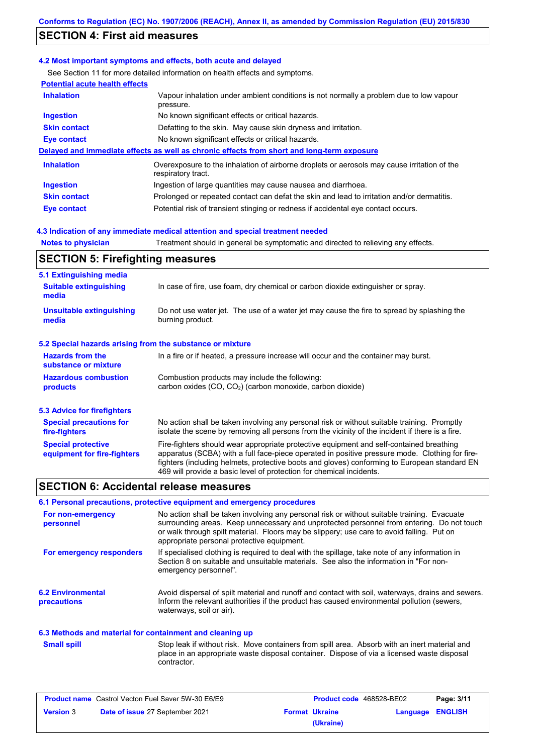# **SECTION 4: First aid measures**

#### **4.2 Most important symptoms and effects, both acute and delayed**

See Section 11 for more detailed information on health effects and symptoms.

| <b>Potential acute health effects</b> |                                                                                                                   |  |  |
|---------------------------------------|-------------------------------------------------------------------------------------------------------------------|--|--|
| <b>Inhalation</b>                     | Vapour inhalation under ambient conditions is not normally a problem due to low vapour<br>pressure.               |  |  |
| <b>Ingestion</b>                      | No known significant effects or critical hazards.                                                                 |  |  |
| <b>Skin contact</b>                   | Defatting to the skin. May cause skin dryness and irritation.                                                     |  |  |
| Eye contact                           | No known significant effects or critical hazards.                                                                 |  |  |
|                                       | Delayed and immediate effects as well as chronic effects from short and long-term exposure                        |  |  |
| <b>Inhalation</b>                     | Overexposure to the inhalation of airborne droplets or aerosols may cause irritation of the<br>respiratory tract. |  |  |
| <b>Ingestion</b>                      | Ingestion of large quantities may cause nausea and diarrhoea.                                                     |  |  |
| <b>Skin contact</b>                   | Prolonged or repeated contact can defat the skin and lead to irritation and/or dermatitis.                        |  |  |
| Eye contact                           | Potential risk of transient stinging or redness if accidental eye contact occurs.                                 |  |  |
|                                       |                                                                                                                   |  |  |

### **4.3 Indication of any immediate medical attention and special treatment needed**

**Notes to physician** Treatment should in general be symptomatic and directed to relieving any effects.

# **SECTION 5: Firefighting measures**

| 5.1 Extinguishing media                                                                                                                                  |                                                                                                                                                                                                                                                                                                                                                                   |  |  |  |
|----------------------------------------------------------------------------------------------------------------------------------------------------------|-------------------------------------------------------------------------------------------------------------------------------------------------------------------------------------------------------------------------------------------------------------------------------------------------------------------------------------------------------------------|--|--|--|
| <b>Suitable extinguishing</b><br>media                                                                                                                   | In case of fire, use foam, dry chemical or carbon dioxide extinguisher or spray.                                                                                                                                                                                                                                                                                  |  |  |  |
| <b>Unsuitable extinguishing</b><br>media                                                                                                                 | Do not use water jet. The use of a water jet may cause the fire to spread by splashing the<br>burning product.                                                                                                                                                                                                                                                    |  |  |  |
| 5.2 Special hazards arising from the substance or mixture                                                                                                |                                                                                                                                                                                                                                                                                                                                                                   |  |  |  |
| <b>Hazards from the</b><br>substance or mixture                                                                                                          | In a fire or if heated, a pressure increase will occur and the container may burst.                                                                                                                                                                                                                                                                               |  |  |  |
| <b>Hazardous combustion</b><br>Combustion products may include the following:<br>carbon oxides $(CO, CO2)$ (carbon monoxide, carbon dioxide)<br>products |                                                                                                                                                                                                                                                                                                                                                                   |  |  |  |
| 5.3 Advice for firefighters                                                                                                                              |                                                                                                                                                                                                                                                                                                                                                                   |  |  |  |
| <b>Special precautions for</b><br>fire-fighters                                                                                                          | No action shall be taken involving any personal risk or without suitable training. Promptly<br>isolate the scene by removing all persons from the vicinity of the incident if there is a fire.                                                                                                                                                                    |  |  |  |
| <b>Special protective</b><br>equipment for fire-fighters                                                                                                 | Fire-fighters should wear appropriate protective equipment and self-contained breathing<br>apparatus (SCBA) with a full face-piece operated in positive pressure mode. Clothing for fire-<br>fighters (including helmets, protective boots and gloves) conforming to European standard EN<br>469 will provide a basic level of protection for chemical incidents. |  |  |  |

## **SECTION 6: Accidental release measures**

#### **6.1 Personal precautions, protective equipment and emergency procedures**

| For non-emergency<br>personnel          | No action shall be taken involving any personal risk or without suitable training. Evacuate<br>surrounding areas. Keep unnecessary and unprotected personnel from entering. Do not touch<br>or walk through spilt material. Floors may be slippery; use care to avoid falling. Put on<br>appropriate personal protective equipment. |
|-----------------------------------------|-------------------------------------------------------------------------------------------------------------------------------------------------------------------------------------------------------------------------------------------------------------------------------------------------------------------------------------|
| For emergency responders                | If specialised clothing is required to deal with the spillage, take note of any information in<br>Section 8 on suitable and unsuitable materials. See also the information in "For non-<br>emergency personnel".                                                                                                                    |
| <b>6.2 Environmental</b><br>precautions | Avoid dispersal of spilt material and runoff and contact with soil, waterways, drains and sewers.<br>Inform the relevant authorities if the product has caused environmental pollution (sewers,<br>waterways, soil or air).                                                                                                         |

#### **6.3 Methods and material for containment and cleaning up**

Stop leak if without risk. Move containers from spill area. Absorb with an inert material and place in an appropriate waste disposal container. Dispose of via a licensed waste disposal contractor. **Small spill**

|                  | <b>Product name</b> Castrol Vecton Fuel Saver 5W-30 E6/E9 | <b>Product code</b> 468528-BE02 |                  | Page: 3/11 |
|------------------|-----------------------------------------------------------|---------------------------------|------------------|------------|
| <b>Version 3</b> | <b>Date of issue 27 September 2021</b>                    | <b>Format Ukraine</b>           | Language ENGLISH |            |
|                  |                                                           | (Ukraine)                       |                  |            |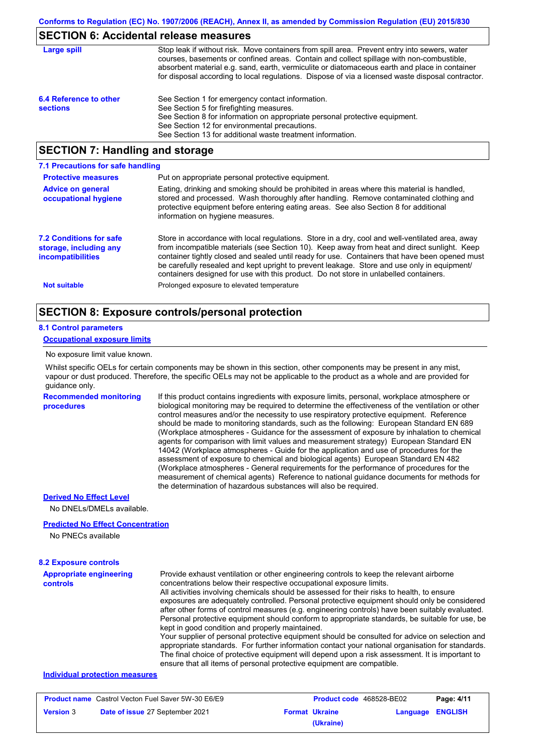## **SECTION 6: Accidental release measures**

| Large spill                               | Stop leak if without risk. Move containers from spill area. Prevent entry into sewers, water<br>courses, basements or confined areas. Contain and collect spillage with non-combustible,<br>absorbent material e.g. sand, earth, vermiculite or diatomaceous earth and place in container<br>for disposal according to local regulations. Dispose of via a licensed waste disposal contractor. |
|-------------------------------------------|------------------------------------------------------------------------------------------------------------------------------------------------------------------------------------------------------------------------------------------------------------------------------------------------------------------------------------------------------------------------------------------------|
| 6.4 Reference to other<br><b>sections</b> | See Section 1 for emergency contact information.<br>See Section 5 for firefighting measures.<br>See Section 8 for information on appropriate personal protective equipment.<br>See Section 12 for environmental precautions.<br>See Section 13 for additional waste treatment information.                                                                                                     |

# **SECTION 7: Handling and storage**

| 7.1 Precautions for safe handling                                                    |                                                                                                                                                                                                                                                                                                                                                                                                                                                                                          |
|--------------------------------------------------------------------------------------|------------------------------------------------------------------------------------------------------------------------------------------------------------------------------------------------------------------------------------------------------------------------------------------------------------------------------------------------------------------------------------------------------------------------------------------------------------------------------------------|
| <b>Protective measures</b>                                                           | Put on appropriate personal protective equipment.                                                                                                                                                                                                                                                                                                                                                                                                                                        |
| <b>Advice on general</b><br>occupational hygiene                                     | Eating, drinking and smoking should be prohibited in areas where this material is handled,<br>stored and processed. Wash thoroughly after handling. Remove contaminated clothing and<br>protective equipment before entering eating areas. See also Section 8 for additional<br>information on hygiene measures.                                                                                                                                                                         |
| <b>7.2 Conditions for safe</b><br>storage, including any<br><b>incompatibilities</b> | Store in accordance with local requiations. Store in a dry, cool and well-ventilated area, away<br>from incompatible materials (see Section 10). Keep away from heat and direct sunlight. Keep<br>container tightly closed and sealed until ready for use. Containers that have been opened must<br>be carefully resealed and kept upright to prevent leakage. Store and use only in equipment/<br>containers designed for use with this product. Do not store in unlabelled containers. |
| <b>Not suitable</b>                                                                  | Prolonged exposure to elevated temperature                                                                                                                                                                                                                                                                                                                                                                                                                                               |

## **SECTION 8: Exposure controls/personal protection**

### **8.1 Control parameters**

#### **Occupational exposure limits**

#### No exposure limit value known.

Whilst specific OELs for certain components may be shown in this section, other components may be present in any mist, vapour or dust produced. Therefore, the specific OELs may not be applicable to the product as a whole and are provided for guidance only.

**Recommended monitoring procedures** If this product contains ingredients with exposure limits, personal, workplace atmosphere or biological monitoring may be required to determine the effectiveness of the ventilation or other control measures and/or the necessity to use respiratory protective equipment. Reference should be made to monitoring standards, such as the following: European Standard EN 689 (Workplace atmospheres - Guidance for the assessment of exposure by inhalation to chemical agents for comparison with limit values and measurement strategy) European Standard EN 14042 (Workplace atmospheres - Guide for the application and use of procedures for the assessment of exposure to chemical and biological agents) European Standard EN 482 (Workplace atmospheres - General requirements for the performance of procedures for the measurement of chemical agents) Reference to national guidance documents for methods for the determination of hazardous substances will also be required.

## **Derived No Effect Level**

No DNELs/DMELs available.

#### **Predicted No Effect Concentration**

No PNECs available

## **Appropriate engineering controls** Provide exhaust ventilation or other engineering controls to keep the relevant airborne concentrations below their respective occupational exposure limits. All activities involving chemicals should be assessed for their risks to health, to ensure exposures are adequately controlled. Personal protective equipment should only be considered after other forms of control measures (e.g. engineering controls) have been suitably evaluated. Personal protective equipment should conform to appropriate standards, be suitable for use, be kept in good condition and properly maintained. Your supplier of personal protective equipment should be consulted for advice on selection and appropriate standards. For further information contact your national organisation for standards. The final choice of protective equipment will depend upon a risk assessment. It is important to ensure that all items of personal protective equipment are compatible. **8.2 Exposure controls Individual protection measures**

| <b>Product name</b> Castrol Vecton Fuel Saver 5W-30 E6/E9 |                                        | <b>Product code</b> 468528-BE02 |                       | Page: 4/11       |  |
|-----------------------------------------------------------|----------------------------------------|---------------------------------|-----------------------|------------------|--|
| <b>Version 3</b>                                          | <b>Date of issue 27 September 2021</b> |                                 | <b>Format Ukraine</b> | Language ENGLISH |  |
|                                                           |                                        |                                 | (Ukraine)             |                  |  |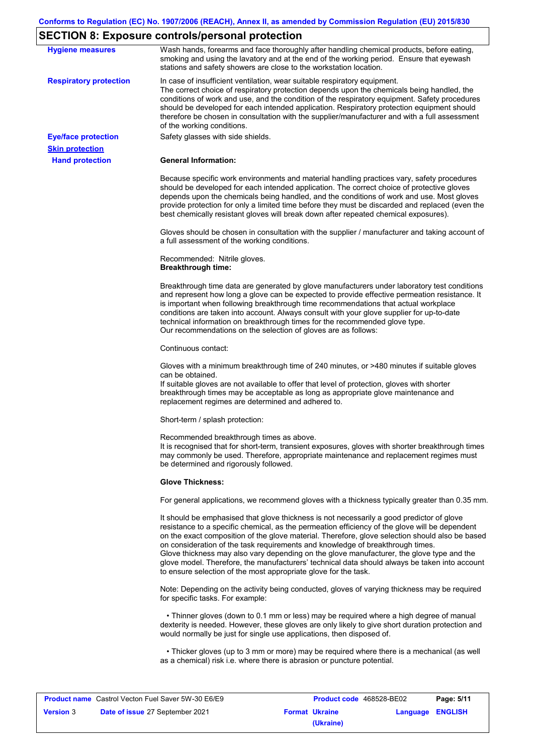# **SECTION 8: Exposure controls/personal protection**

| <b>Hygiene measures</b>                          | Wash hands, forearms and face thoroughly after handling chemical products, before eating,<br>smoking and using the lavatory and at the end of the working period. Ensure that eyewash<br>stations and safety showers are close to the workstation location.                                                                                                                                                                                                                                                                                                                                                                                       |
|--------------------------------------------------|---------------------------------------------------------------------------------------------------------------------------------------------------------------------------------------------------------------------------------------------------------------------------------------------------------------------------------------------------------------------------------------------------------------------------------------------------------------------------------------------------------------------------------------------------------------------------------------------------------------------------------------------------|
| <b>Respiratory protection</b>                    | In case of insufficient ventilation, wear suitable respiratory equipment.<br>The correct choice of respiratory protection depends upon the chemicals being handled, the<br>conditions of work and use, and the condition of the respiratory equipment. Safety procedures<br>should be developed for each intended application. Respiratory protection equipment should<br>therefore be chosen in consultation with the supplier/manufacturer and with a full assessment<br>of the working conditions.                                                                                                                                             |
| <b>Eye/face protection</b>                       | Safety glasses with side shields.                                                                                                                                                                                                                                                                                                                                                                                                                                                                                                                                                                                                                 |
| <b>Skin protection</b><br><b>Hand protection</b> | <b>General Information:</b>                                                                                                                                                                                                                                                                                                                                                                                                                                                                                                                                                                                                                       |
|                                                  | Because specific work environments and material handling practices vary, safety procedures<br>should be developed for each intended application. The correct choice of protective gloves<br>depends upon the chemicals being handled, and the conditions of work and use. Most gloves<br>provide protection for only a limited time before they must be discarded and replaced (even the<br>best chemically resistant gloves will break down after repeated chemical exposures).                                                                                                                                                                  |
|                                                  | Gloves should be chosen in consultation with the supplier / manufacturer and taking account of<br>a full assessment of the working conditions.                                                                                                                                                                                                                                                                                                                                                                                                                                                                                                    |
|                                                  | Recommended: Nitrile gloves.<br><b>Breakthrough time:</b>                                                                                                                                                                                                                                                                                                                                                                                                                                                                                                                                                                                         |
|                                                  | Breakthrough time data are generated by glove manufacturers under laboratory test conditions<br>and represent how long a glove can be expected to provide effective permeation resistance. It<br>is important when following breakthrough time recommendations that actual workplace<br>conditions are taken into account. Always consult with your glove supplier for up-to-date<br>technical information on breakthrough times for the recommended glove type.<br>Our recommendations on the selection of gloves are as follows:                                                                                                                |
|                                                  | Continuous contact:                                                                                                                                                                                                                                                                                                                                                                                                                                                                                                                                                                                                                               |
|                                                  | Gloves with a minimum breakthrough time of 240 minutes, or >480 minutes if suitable gloves<br>can be obtained.<br>If suitable gloves are not available to offer that level of protection, gloves with shorter<br>breakthrough times may be acceptable as long as appropriate glove maintenance and<br>replacement regimes are determined and adhered to.                                                                                                                                                                                                                                                                                          |
|                                                  | Short-term / splash protection:                                                                                                                                                                                                                                                                                                                                                                                                                                                                                                                                                                                                                   |
|                                                  | Recommended breakthrough times as above.<br>It is recognised that for short-term, transient exposures, gloves with shorter breakthrough times<br>may commonly be used. Therefore, appropriate maintenance and replacement regimes must<br>be determined and rigorously followed.                                                                                                                                                                                                                                                                                                                                                                  |
|                                                  | <b>Glove Thickness:</b>                                                                                                                                                                                                                                                                                                                                                                                                                                                                                                                                                                                                                           |
|                                                  | For general applications, we recommend gloves with a thickness typically greater than 0.35 mm.                                                                                                                                                                                                                                                                                                                                                                                                                                                                                                                                                    |
|                                                  | It should be emphasised that glove thickness is not necessarily a good predictor of glove<br>resistance to a specific chemical, as the permeation efficiency of the glove will be dependent<br>on the exact composition of the glove material. Therefore, glove selection should also be based<br>on consideration of the task requirements and knowledge of breakthrough times.<br>Glove thickness may also vary depending on the glove manufacturer, the glove type and the<br>glove model. Therefore, the manufacturers' technical data should always be taken into account<br>to ensure selection of the most appropriate glove for the task. |
|                                                  | Note: Depending on the activity being conducted, gloves of varying thickness may be required<br>for specific tasks. For example:                                                                                                                                                                                                                                                                                                                                                                                                                                                                                                                  |
|                                                  | • Thinner gloves (down to 0.1 mm or less) may be required where a high degree of manual<br>dexterity is needed. However, these gloves are only likely to give short duration protection and<br>would normally be just for single use applications, then disposed of.                                                                                                                                                                                                                                                                                                                                                                              |
|                                                  | • Thicker gloves (up to 3 mm or more) may be required where there is a mechanical (as well<br>as a chemical) risk i.e. where there is abrasion or puncture potential.                                                                                                                                                                                                                                                                                                                                                                                                                                                                             |

| <b>Product name</b> Castrol Vecton Fuel Saver 5W-30 E6/E9 |                                        | <b>Product code</b> 468528-BE02 |                       | Page: 5/11       |  |
|-----------------------------------------------------------|----------------------------------------|---------------------------------|-----------------------|------------------|--|
| <b>Version 3</b>                                          | <b>Date of issue 27 September 2021</b> |                                 | <b>Format Ukraine</b> | Language ENGLISH |  |
|                                                           |                                        |                                 | (Ukraine)             |                  |  |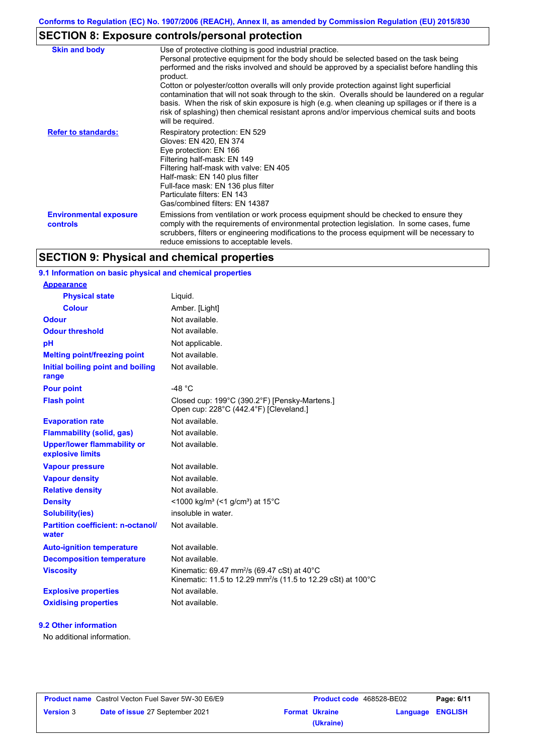# **SECTION 8: Exposure controls/personal protection**

| <b>Skin and body</b>                      | Use of protective clothing is good industrial practice.<br>Personal protective equipment for the body should be selected based on the task being<br>performed and the risks involved and should be approved by a specialist before handling this<br>product.<br>Cotton or polyester/cotton overalls will only provide protection against light superficial<br>contamination that will not soak through to the skin. Overalls should be laundered on a regular<br>basis. When the risk of skin exposure is high (e.g. when cleaning up spillages or if there is a<br>risk of splashing) then chemical resistant aprons and/or impervious chemical suits and boots<br>will be required. |
|-------------------------------------------|---------------------------------------------------------------------------------------------------------------------------------------------------------------------------------------------------------------------------------------------------------------------------------------------------------------------------------------------------------------------------------------------------------------------------------------------------------------------------------------------------------------------------------------------------------------------------------------------------------------------------------------------------------------------------------------|
| <b>Refer to standards:</b>                | Respiratory protection: EN 529<br>Gloves: EN 420, EN 374<br>Eye protection: EN 166<br>Filtering half-mask: EN 149<br>Filtering half-mask with valve: EN 405<br>Half-mask: EN 140 plus filter<br>Full-face mask: EN 136 plus filter<br>Particulate filters: EN 143<br>Gas/combined filters: EN 14387                                                                                                                                                                                                                                                                                                                                                                                   |
| <b>Environmental exposure</b><br>controls | Emissions from ventilation or work process equipment should be checked to ensure they<br>comply with the requirements of environmental protection legislation. In some cases, fume<br>scrubbers, filters or engineering modifications to the process equipment will be necessary to<br>reduce emissions to acceptable levels.                                                                                                                                                                                                                                                                                                                                                         |

# **SECTION 9: Physical and chemical properties**

# **9.1 Information on basic physical and chemical properties**

| <u>Appearance</u>                                      |                                                                                                                                                |
|--------------------------------------------------------|------------------------------------------------------------------------------------------------------------------------------------------------|
| <b>Physical state</b>                                  | Liquid.                                                                                                                                        |
| <b>Colour</b>                                          | Amber. [Light]                                                                                                                                 |
| <b>Odour</b>                                           | Not available.                                                                                                                                 |
| <b>Odour threshold</b>                                 | Not available.                                                                                                                                 |
| pH                                                     | Not applicable.                                                                                                                                |
| <b>Melting point/freezing point</b>                    | Not available.                                                                                                                                 |
| Initial boiling point and boiling<br>range             | Not available.                                                                                                                                 |
| <b>Pour point</b>                                      | -48 $°C$                                                                                                                                       |
| <b>Flash point</b>                                     | Closed cup: 199°C (390.2°F) [Pensky-Martens.]<br>Open cup: 228°C (442.4°F) [Cleveland.]                                                        |
| <b>Evaporation rate</b>                                | Not available.                                                                                                                                 |
| <b>Flammability (solid, gas)</b>                       | Not available.                                                                                                                                 |
| <b>Upper/lower flammability or</b><br>explosive limits | Not available.                                                                                                                                 |
| <b>Vapour pressure</b>                                 | Not available.                                                                                                                                 |
| <b>Vapour density</b>                                  | Not available.                                                                                                                                 |
| <b>Relative density</b>                                | Not available.                                                                                                                                 |
| <b>Density</b>                                         | <1000 kg/m <sup>3</sup> (<1 g/cm <sup>3</sup> ) at 15 <sup>°</sup> C                                                                           |
| <b>Solubility(ies)</b>                                 | insoluble in water.                                                                                                                            |
| <b>Partition coefficient: n-octanol/</b><br>water      | Not available.                                                                                                                                 |
| <b>Auto-ignition temperature</b>                       | Not available.                                                                                                                                 |
| <b>Decomposition temperature</b>                       | Not available.                                                                                                                                 |
| <b>Viscosity</b>                                       | Kinematic: 69.47 mm <sup>2</sup> /s (69.47 cSt) at 40 $^{\circ}$ C<br>Kinematic: 11.5 to 12.29 mm <sup>2</sup> /s (11.5 to 12.29 cSt) at 100°C |
| <b>Explosive properties</b>                            | Not available.                                                                                                                                 |
| <b>Oxidising properties</b>                            | Not available.                                                                                                                                 |
|                                                        |                                                                                                                                                |

## **9.2 Other information**

**Appearance**

No additional information.

|                  | <b>Product name</b> Castrol Vecton Fuel Saver 5W-30 E6/E9 |
|------------------|-----------------------------------------------------------|
| <b>Version</b> 3 | Date of issue 27 September 2021                           |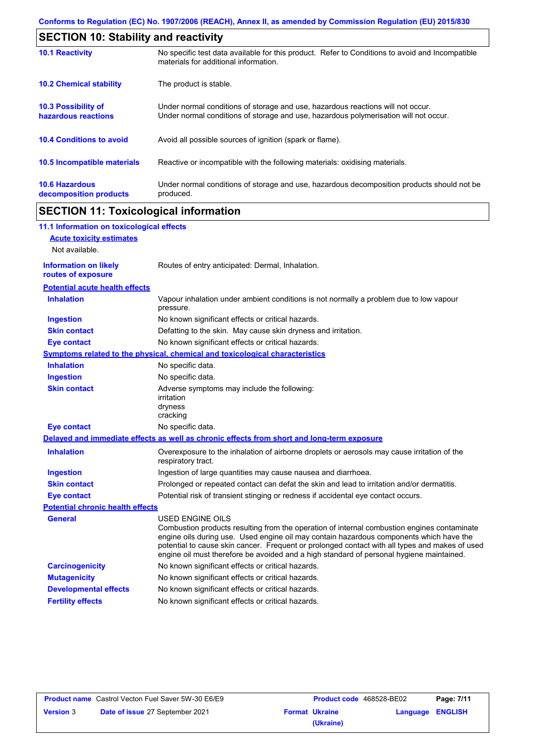| <b>SECTION 10: Stability and reactivity</b>       |                                                                                                                                                                         |  |  |  |
|---------------------------------------------------|-------------------------------------------------------------------------------------------------------------------------------------------------------------------------|--|--|--|
| <b>10.1 Reactivity</b>                            | No specific test data available for this product. Refer to Conditions to avoid and Incompatible<br>materials for additional information.                                |  |  |  |
| <b>10.2 Chemical stability</b>                    | The product is stable.                                                                                                                                                  |  |  |  |
| <b>10.3 Possibility of</b><br>hazardous reactions | Under normal conditions of storage and use, hazardous reactions will not occur.<br>Under normal conditions of storage and use, hazardous polymerisation will not occur. |  |  |  |
| <b>10.4 Conditions to avoid</b>                   | Avoid all possible sources of ignition (spark or flame).                                                                                                                |  |  |  |
| 10.5 Incompatible materials                       | Reactive or incompatible with the following materials: oxidising materials.                                                                                             |  |  |  |
| <b>10.6 Hazardous</b><br>decomposition products   | Under normal conditions of storage and use, hazardous decomposition products should not be<br>produced.                                                                 |  |  |  |

# **SECTION 11: Toxicological information**

| 11.1 Information on toxicological effects          |                                                                                                                                                                                                                                                                                                                                                                                                                 |
|----------------------------------------------------|-----------------------------------------------------------------------------------------------------------------------------------------------------------------------------------------------------------------------------------------------------------------------------------------------------------------------------------------------------------------------------------------------------------------|
| <b>Acute toxicity estimates</b>                    |                                                                                                                                                                                                                                                                                                                                                                                                                 |
| Not available.                                     |                                                                                                                                                                                                                                                                                                                                                                                                                 |
| <b>Information on likely</b><br>routes of exposure | Routes of entry anticipated: Dermal, Inhalation.                                                                                                                                                                                                                                                                                                                                                                |
| <b>Potential acute health effects</b>              |                                                                                                                                                                                                                                                                                                                                                                                                                 |
| <b>Inhalation</b>                                  | Vapour inhalation under ambient conditions is not normally a problem due to low vapour<br>pressure.                                                                                                                                                                                                                                                                                                             |
| <b>Ingestion</b>                                   | No known significant effects or critical hazards.                                                                                                                                                                                                                                                                                                                                                               |
| <b>Skin contact</b>                                | Defatting to the skin. May cause skin dryness and irritation.                                                                                                                                                                                                                                                                                                                                                   |
| <b>Eye contact</b>                                 | No known significant effects or critical hazards.                                                                                                                                                                                                                                                                                                                                                               |
|                                                    | <b>Symptoms related to the physical, chemical and toxicological characteristics</b>                                                                                                                                                                                                                                                                                                                             |
| <b>Inhalation</b>                                  | No specific data.                                                                                                                                                                                                                                                                                                                                                                                               |
| <b>Ingestion</b>                                   | No specific data.                                                                                                                                                                                                                                                                                                                                                                                               |
| <b>Skin contact</b>                                | Adverse symptoms may include the following:<br>irritation<br>dryness<br>cracking                                                                                                                                                                                                                                                                                                                                |
| <b>Eye contact</b>                                 | No specific data.                                                                                                                                                                                                                                                                                                                                                                                               |
|                                                    | Delayed and immediate effects as well as chronic effects from short and long-term exposure                                                                                                                                                                                                                                                                                                                      |
| <b>Inhalation</b>                                  | Overexposure to the inhalation of airborne droplets or aerosols may cause irritation of the<br>respiratory tract.                                                                                                                                                                                                                                                                                               |
| <b>Ingestion</b>                                   | Ingestion of large quantities may cause nausea and diarrhoea.                                                                                                                                                                                                                                                                                                                                                   |
| <b>Skin contact</b>                                | Prolonged or repeated contact can defat the skin and lead to irritation and/or dermatitis.                                                                                                                                                                                                                                                                                                                      |
| <b>Eye contact</b>                                 | Potential risk of transient stinging or redness if accidental eye contact occurs.                                                                                                                                                                                                                                                                                                                               |
| <b>Potential chronic health effects</b>            |                                                                                                                                                                                                                                                                                                                                                                                                                 |
| <b>General</b>                                     | <b>USED ENGINE OILS</b><br>Combustion products resulting from the operation of internal combustion engines contaminate<br>engine oils during use. Used engine oil may contain hazardous components which have the<br>potential to cause skin cancer. Frequent or prolonged contact with all types and makes of used<br>engine oil must therefore be avoided and a high standard of personal hygiene maintained. |
| <b>Carcinogenicity</b>                             | No known significant effects or critical hazards.                                                                                                                                                                                                                                                                                                                                                               |
| <b>Mutagenicity</b>                                | No known significant effects or critical hazards.                                                                                                                                                                                                                                                                                                                                                               |
| <b>Developmental effects</b>                       | No known significant effects or critical hazards.                                                                                                                                                                                                                                                                                                                                                               |
| <b>Fertility effects</b>                           | No known significant effects or critical hazards.                                                                                                                                                                                                                                                                                                                                                               |

| <b>Product name</b> Castrol Vecton Fuel Saver 5W-30 E6/E9 |                                        | <b>Product code</b> 468528-BE02 |                       | Page: 7/11              |  |
|-----------------------------------------------------------|----------------------------------------|---------------------------------|-----------------------|-------------------------|--|
| <b>Version 3</b>                                          | <b>Date of issue 27 September 2021</b> |                                 | <b>Format Ukraine</b> | <b>Language ENGLISH</b> |  |
|                                                           |                                        |                                 | (Ukraine)             |                         |  |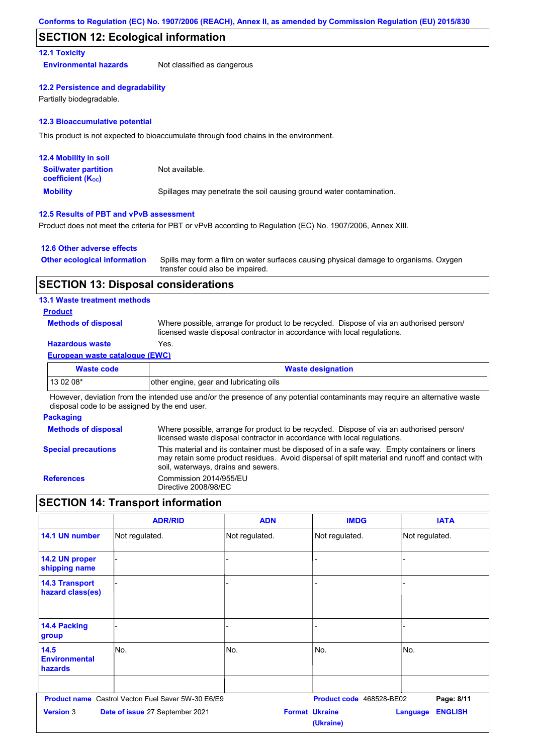## **SECTION 12: Ecological information**

## **12.1 Toxicity**

**Environmental hazards** Not classified as dangerous

#### **12.2 Persistence and degradability**

Partially biodegradable.

#### **12.3 Bioaccumulative potential**

This product is not expected to bioaccumulate through food chains in the environment.

| <b>12.4 Mobility in soil</b>                            |                                                                      |
|---------------------------------------------------------|----------------------------------------------------------------------|
| <b>Soil/water partition</b><br><b>coefficient (Koc)</b> | Not available.                                                       |
| <b>Mobility</b>                                         | Spillages may penetrate the soil causing ground water contamination. |

## **12.5 Results of PBT and vPvB assessment**

Product does not meet the criteria for PBT or vPvB according to Regulation (EC) No. 1907/2006, Annex XIII.

#### **12.6 Other adverse effects**

| <b>Other ecological information</b> | Spills may form a film on water surfaces causing physical damage to organisms. Oxygen |
|-------------------------------------|---------------------------------------------------------------------------------------|
|                                     | transfer could also be impaired.                                                      |

## **SECTION 13: Disposal considerations**

### **13.1 Waste treatment methods**

### **Product**

**Methods of disposal**

Where possible, arrange for product to be recycled. Dispose of via an authorised person/ licensed waste disposal contractor in accordance with local regulations.

## **Hazardous waste** Yes.

#### **European waste catalogue (EWC)**

| <b>Waste code</b> | <b>Waste designation</b>                |
|-------------------|-----------------------------------------|
| $130208*$         | other engine, gear and lubricating oils |
| .<br>.            | .<br>.<br>.<br>$\cdots$                 |

However, deviation from the intended use and/or the presence of any potential contaminants may require an alternative waste disposal code to be assigned by the end user.

#### **Packaging**

| <b>Methods of disposal</b> | Where possible, arrange for product to be recycled. Dispose of via an authorised person/<br>licensed waste disposal contractor in accordance with local regulations.                                                                    |
|----------------------------|-----------------------------------------------------------------------------------------------------------------------------------------------------------------------------------------------------------------------------------------|
| <b>Special precautions</b> | This material and its container must be disposed of in a safe way. Empty containers or liners<br>may retain some product residues. Avoid dispersal of spilt material and runoff and contact with<br>soil, waterways, drains and sewers. |
| <b>References</b>          | Commission 2014/955/EU<br>Directive 2008/98/EC                                                                                                                                                                                          |

# **SECTION 14: Transport information**

|                                           | <b>ADR/RID</b>                                     | <b>ADN</b>     | <b>IMDG</b>                        | <b>IATA</b>                       |
|-------------------------------------------|----------------------------------------------------|----------------|------------------------------------|-----------------------------------|
| 14.1 UN number                            | Not regulated.                                     | Not regulated. | Not regulated.                     | Not regulated.                    |
| 14.2 UN proper<br>shipping name           |                                                    |                |                                    |                                   |
| <b>14.3 Transport</b><br>hazard class(es) |                                                    |                |                                    |                                   |
| <b>14.4 Packing</b><br>group              |                                                    |                |                                    |                                   |
| 14.5<br><b>Environmental</b><br>hazards   | No.                                                | No.            | No.                                | No.                               |
|                                           | Product name Castrol Vecton Fuel Saver 5W-30 E6/E9 |                | Product code 468528-BE02           | Page: 8/11                        |
| <b>Version 3</b>                          | Date of issue 27 September 2021                    |                | <b>Format Ukraine</b><br>(Ukraine) | <b>ENGLISH</b><br><b>Language</b> |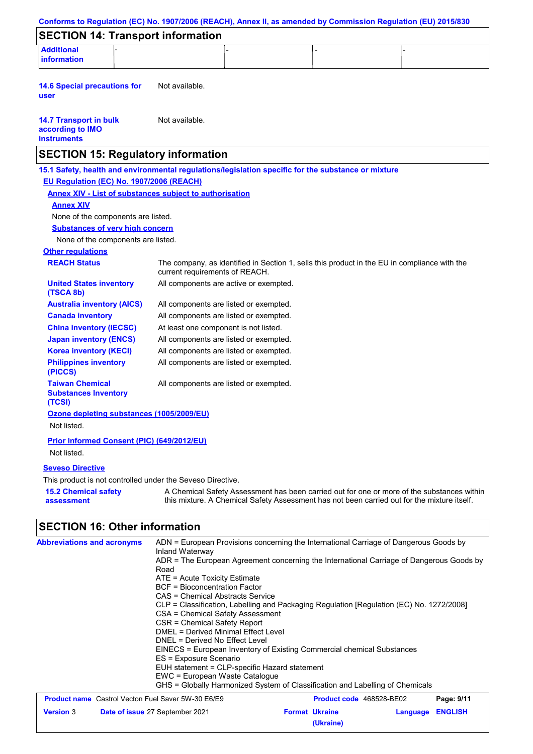|                                                                                               |                                          |                                                                                              |                                                                                                                                                                                           | Conforms to Regulation (EC) No. 1907/2006 (REACH), Annex II, as amended by Commission Regulation (EU) 2015/830 |                              |
|-----------------------------------------------------------------------------------------------|------------------------------------------|----------------------------------------------------------------------------------------------|-------------------------------------------------------------------------------------------------------------------------------------------------------------------------------------------|----------------------------------------------------------------------------------------------------------------|------------------------------|
|                                                                                               |                                          | <b>SECTION 14: Transport information</b>                                                     |                                                                                                                                                                                           |                                                                                                                |                              |
| <b>Additional</b><br><b>information</b>                                                       |                                          |                                                                                              |                                                                                                                                                                                           |                                                                                                                |                              |
| <b>14.6 Special precautions for</b><br>user                                                   |                                          | Not available.                                                                               |                                                                                                                                                                                           |                                                                                                                |                              |
| <b>14.7 Transport in bulk</b><br>according to IMO<br><b>instruments</b>                       |                                          | Not available.                                                                               |                                                                                                                                                                                           |                                                                                                                |                              |
|                                                                                               |                                          | <b>SECTION 15: Regulatory information</b>                                                    |                                                                                                                                                                                           |                                                                                                                |                              |
|                                                                                               |                                          |                                                                                              | 15.1 Safety, health and environmental regulations/legislation specific for the substance or mixture                                                                                       |                                                                                                                |                              |
|                                                                                               | EU Regulation (EC) No. 1907/2006 (REACH) |                                                                                              |                                                                                                                                                                                           |                                                                                                                |                              |
|                                                                                               |                                          | <b>Annex XIV - List of substances subject to authorisation</b>                               |                                                                                                                                                                                           |                                                                                                                |                              |
| <b>Annex XIV</b>                                                                              |                                          |                                                                                              |                                                                                                                                                                                           |                                                                                                                |                              |
|                                                                                               | None of the components are listed.       |                                                                                              |                                                                                                                                                                                           |                                                                                                                |                              |
|                                                                                               | <b>Substances of very high concern</b>   |                                                                                              |                                                                                                                                                                                           |                                                                                                                |                              |
|                                                                                               | None of the components are listed.       |                                                                                              |                                                                                                                                                                                           |                                                                                                                |                              |
| <b>Other regulations</b>                                                                      |                                          |                                                                                              |                                                                                                                                                                                           |                                                                                                                |                              |
| <b>REACH Status</b>                                                                           |                                          | current requirements of REACH.                                                               | The company, as identified in Section 1, sells this product in the EU in compliance with the                                                                                              |                                                                                                                |                              |
| <b>United States inventory</b><br>(TSCA 8b)                                                   |                                          | All components are active or exempted.                                                       |                                                                                                                                                                                           |                                                                                                                |                              |
|                                                                                               | <b>Australia inventory (AICS)</b>        | All components are listed or exempted.                                                       |                                                                                                                                                                                           |                                                                                                                |                              |
| <b>Canada inventory</b>                                                                       |                                          | All components are listed or exempted.                                                       |                                                                                                                                                                                           |                                                                                                                |                              |
| <b>China inventory (IECSC)</b>                                                                |                                          | At least one component is not listed.                                                        |                                                                                                                                                                                           |                                                                                                                |                              |
| <b>Japan inventory (ENCS)</b>                                                                 |                                          | All components are listed or exempted.                                                       |                                                                                                                                                                                           |                                                                                                                |                              |
| <b>Korea inventory (KECI)</b><br><b>Philippines inventory</b><br>(PICCS)                      |                                          | All components are listed or exempted.<br>All components are listed or exempted.             |                                                                                                                                                                                           |                                                                                                                |                              |
| <b>Taiwan Chemical</b><br><b>Substances Inventory</b><br>(TCSI)                               |                                          | All components are listed or exempted.                                                       |                                                                                                                                                                                           |                                                                                                                |                              |
| Not listed.                                                                                   |                                          | Ozone depleting substances (1005/2009/EU)                                                    |                                                                                                                                                                                           |                                                                                                                |                              |
|                                                                                               |                                          | Prior Informed Consent (PIC) (649/2012/EU)                                                   |                                                                                                                                                                                           |                                                                                                                |                              |
| Not listed.                                                                                   |                                          |                                                                                              |                                                                                                                                                                                           |                                                                                                                |                              |
|                                                                                               |                                          |                                                                                              |                                                                                                                                                                                           |                                                                                                                |                              |
| <b>Seveso Directive</b>                                                                       |                                          |                                                                                              |                                                                                                                                                                                           |                                                                                                                |                              |
|                                                                                               |                                          | This product is not controlled under the Seveso Directive.                                   |                                                                                                                                                                                           |                                                                                                                |                              |
| <b>15.2 Chemical safety</b><br>assessment                                                     |                                          |                                                                                              | A Chemical Safety Assessment has been carried out for one or more of the substances within<br>this mixture. A Chemical Safety Assessment has not been carried out for the mixture itself. |                                                                                                                |                              |
|                                                                                               |                                          |                                                                                              |                                                                                                                                                                                           |                                                                                                                |                              |
|                                                                                               |                                          | Inland Waterway                                                                              | ADN = European Provisions concerning the International Carriage of Dangerous Goods by                                                                                                     |                                                                                                                |                              |
|                                                                                               |                                          | Road                                                                                         | ADR = The European Agreement concerning the International Carriage of Dangerous Goods by                                                                                                  |                                                                                                                |                              |
|                                                                                               |                                          | ATE = Acute Toxicity Estimate                                                                |                                                                                                                                                                                           |                                                                                                                |                              |
|                                                                                               |                                          | <b>BCF</b> = Bioconcentration Factor<br>CAS = Chemical Abstracts Service                     |                                                                                                                                                                                           |                                                                                                                |                              |
|                                                                                               |                                          |                                                                                              | CLP = Classification, Labelling and Packaging Regulation [Regulation (EC) No. 1272/2008]                                                                                                  |                                                                                                                |                              |
|                                                                                               |                                          | CSA = Chemical Safety Assessment                                                             |                                                                                                                                                                                           |                                                                                                                |                              |
|                                                                                               |                                          | CSR = Chemical Safety Report<br>DMEL = Derived Minimal Effect Level                          |                                                                                                                                                                                           |                                                                                                                |                              |
|                                                                                               |                                          | DNEL = Derived No Effect Level                                                               |                                                                                                                                                                                           |                                                                                                                |                              |
|                                                                                               |                                          | ES = Exposure Scenario                                                                       | EINECS = European Inventory of Existing Commercial chemical Substances                                                                                                                    |                                                                                                                |                              |
|                                                                                               |                                          | EUH statement = CLP-specific Hazard statement                                                |                                                                                                                                                                                           |                                                                                                                |                              |
|                                                                                               |                                          | EWC = European Waste Catalogue                                                               |                                                                                                                                                                                           |                                                                                                                |                              |
|                                                                                               |                                          |                                                                                              | GHS = Globally Harmonized System of Classification and Labelling of Chemicals                                                                                                             |                                                                                                                |                              |
| <b>SECTION 16: Other information</b><br><b>Abbreviations and acronyms</b><br><b>Version 3</b> |                                          | <b>Product name</b> Castrol Vecton Fuel Saver 5W-30 E6/E9<br>Date of issue 27 September 2021 | <b>Format Ukraine</b>                                                                                                                                                                     | Product code 468528-BE02<br>Language                                                                           | Page: 9/11<br><b>ENGLISH</b> |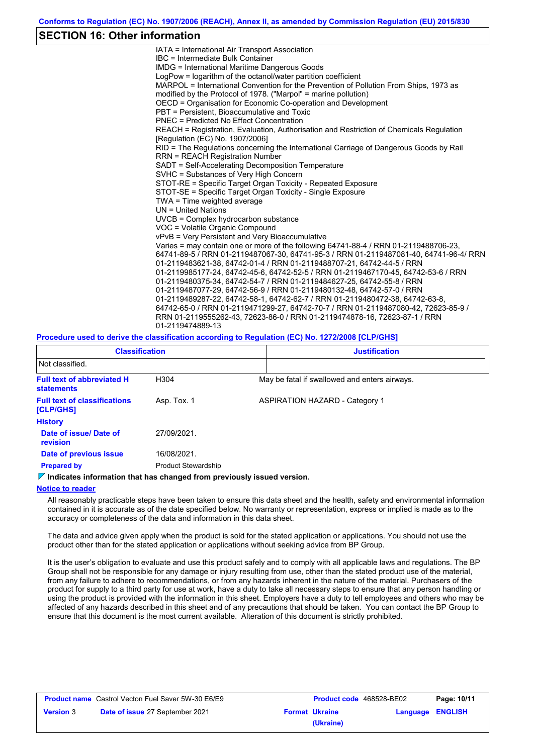## **SECTION 16: Other information**

IATA = International Air Transport Association IBC = Intermediate Bulk Container IMDG = International Maritime Dangerous Goods LogPow = logarithm of the octanol/water partition coefficient MARPOL = International Convention for the Prevention of Pollution From Ships, 1973 as modified by the Protocol of 1978. ("Marpol" = marine pollution) OECD = Organisation for Economic Co-operation and Development PBT = Persistent, Bioaccumulative and Toxic PNEC = Predicted No Effect Concentration REACH = Registration, Evaluation, Authorisation and Restriction of Chemicals Regulation [Regulation (EC) No. 1907/2006] RID = The Regulations concerning the International Carriage of Dangerous Goods by Rail RRN = REACH Registration Number SADT = Self-Accelerating Decomposition Temperature SVHC = Substances of Very High Concern STOT-RE = Specific Target Organ Toxicity - Repeated Exposure STOT-SE = Specific Target Organ Toxicity - Single Exposure TWA = Time weighted average UN = United Nations UVCB = Complex hydrocarbon substance VOC = Volatile Organic Compound vPvB = Very Persistent and Very Bioaccumulative Varies = may contain one or more of the following 64741-88-4 / RRN 01-2119488706-23, 64741-89-5 / RRN 01-2119487067-30, 64741-95-3 / RRN 01-2119487081-40, 64741-96-4/ RRN 01-2119483621-38, 64742-01-4 / RRN 01-2119488707-21, 64742-44-5 / RRN 01-2119985177-24, 64742-45-6, 64742-52-5 / RRN 01-2119467170-45, 64742-53-6 / RRN 01-2119480375-34, 64742-54-7 / RRN 01-2119484627-25, 64742-55-8 / RRN 01-2119487077-29, 64742-56-9 / RRN 01-2119480132-48, 64742-57-0 / RRN 01-2119489287-22, 64742-58-1, 64742-62-7 / RRN 01-2119480472-38, 64742-63-8, 64742-65-0 / RRN 01-2119471299-27, 64742-70-7 / RRN 01-2119487080-42, 72623-85-9 / RRN 01-2119555262-43, 72623-86-0 / RRN 01-2119474878-16, 72623-87-1 / RRN 01-2119474889-13

#### **Procedure used to derive the classification according to Regulation (EC) No. 1272/2008 [CLP/GHS]**

| <b>Classification</b>                                  |                            | <b>Justification</b>                          |  |  |  |
|--------------------------------------------------------|----------------------------|-----------------------------------------------|--|--|--|
| Not classified.                                        |                            |                                               |  |  |  |
| <b>Full text of abbreviated H</b><br><b>statements</b> | H304                       | May be fatal if swallowed and enters airways. |  |  |  |
| <b>Full text of classifications</b><br>[CLP/GHS]       | Asp. Tox. 1                | <b>ASPIRATION HAZARD - Category 1</b>         |  |  |  |
| <b>History</b>                                         |                            |                                               |  |  |  |
| Date of issue/Date of<br>revision                      | 27/09/2021.                |                                               |  |  |  |
| Date of previous issue                                 | 16/08/2021.                |                                               |  |  |  |
| <b>Prepared by</b>                                     | <b>Product Stewardship</b> |                                               |  |  |  |

#### **Indicates information that has changed from previously issued version.**

#### **Notice to reader**

All reasonably practicable steps have been taken to ensure this data sheet and the health, safety and environmental information contained in it is accurate as of the date specified below. No warranty or representation, express or implied is made as to the accuracy or completeness of the data and information in this data sheet.

The data and advice given apply when the product is sold for the stated application or applications. You should not use the product other than for the stated application or applications without seeking advice from BP Group.

It is the user's obligation to evaluate and use this product safely and to comply with all applicable laws and regulations. The BP Group shall not be responsible for any damage or injury resulting from use, other than the stated product use of the material, from any failure to adhere to recommendations, or from any hazards inherent in the nature of the material. Purchasers of the product for supply to a third party for use at work, have a duty to take all necessary steps to ensure that any person handling or using the product is provided with the information in this sheet. Employers have a duty to tell employees and others who may be affected of any hazards described in this sheet and of any precautions that should be taken. You can contact the BP Group to ensure that this document is the most current available. Alteration of this document is strictly prohibited.

| <b>Product name</b> Castrol Vecton Fuel Saver 5W-30 E6/E9 |                                        | <b>Product code</b> 468528-BE02 |                       | Page: 10/11      |  |
|-----------------------------------------------------------|----------------------------------------|---------------------------------|-----------------------|------------------|--|
| <b>Version</b> 3                                          | <b>Date of issue 27 September 2021</b> |                                 | <b>Format Ukraine</b> | Language ENGLISH |  |
|                                                           |                                        |                                 | (Ukraine)             |                  |  |